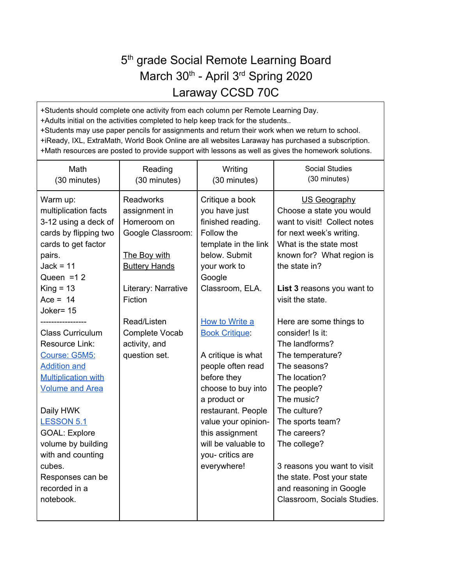## 5<sup>th</sup> grade Social Remote Learning Board March 30<sup>th</sup> - April 3<sup>rd</sup> Spring 2020 Laraway CCSD 70C

+Students should complete one activity from each column per Remote Learning Day. +Adults initial on the activities completed to help keep track for the students.. +Students may use paper pencils for assignments and return their work when we return to school. +iReady, IXL, ExtraMath, World Book Online are all websites Laraway has purchased a subscription. +Math resources are posted to provide support with lessons as well as gives the homework solutions.

| Math<br>(30 minutes)                                                                                                                                                                                                                                                                                       | Reading<br>(30 minutes)                                                                                                                                | Writing<br>(30 minutes)                                                                                                                                                                                                                                           | <b>Social Studies</b><br>(30 minutes)                                                                                                                                                                                                                                                                                                      |
|------------------------------------------------------------------------------------------------------------------------------------------------------------------------------------------------------------------------------------------------------------------------------------------------------------|--------------------------------------------------------------------------------------------------------------------------------------------------------|-------------------------------------------------------------------------------------------------------------------------------------------------------------------------------------------------------------------------------------------------------------------|--------------------------------------------------------------------------------------------------------------------------------------------------------------------------------------------------------------------------------------------------------------------------------------------------------------------------------------------|
| Warm up:<br>multiplication facts<br>3-12 using a deck of<br>cards by flipping two<br>cards to get factor<br>pairs.<br>$Jack = 11$<br>Queen = $12$<br>$King = 13$<br>Ace = $14$<br>Joker= 15                                                                                                                | <b>Readworks</b><br>assignment in<br>Homeroom on<br>Google Classroom:<br><b>The Boy with</b><br><b>Buttery Hands</b><br>Literary: Narrative<br>Fiction | Critique a book<br>you have just<br>finished reading.<br>Follow the<br>template in the link<br>below. Submit<br>your work to<br>Google<br>Classroom, ELA.                                                                                                         | US Geography<br>Choose a state you would<br>want to visit! Collect notes<br>for next week's writing.<br>What is the state most<br>known for? What region is<br>the state in?<br>List 3 reasons you want to<br>visit the state.                                                                                                             |
| <b>Class Curriculum</b><br>Resource Link:<br>Course: G5M5:<br><b>Addition and</b><br><b>Multiplication with</b><br><b>Volume and Area</b><br>Daily HWK<br><b>LESSON 5.1</b><br><b>GOAL: Explore</b><br>volume by building<br>with and counting<br>cubes.<br>Responses can be<br>recorded in a<br>notebook. | Read/Listen<br>Complete Vocab<br>activity, and<br>question set.                                                                                        | How to Write a<br><b>Book Critique:</b><br>A critique is what<br>people often read<br>before they<br>choose to buy into<br>a product or<br>restaurant. People<br>value your opinion-<br>this assignment<br>will be valuable to<br>you- critics are<br>everywhere! | Here are some things to<br>consider! Is it:<br>The landforms?<br>The temperature?<br>The seasons?<br>The location?<br>The people?<br>The music?<br>The culture?<br>The sports team?<br>The careers?<br>The college?<br>3 reasons you want to visit<br>the state. Post your state<br>and reasoning in Google<br>Classroom, Socials Studies. |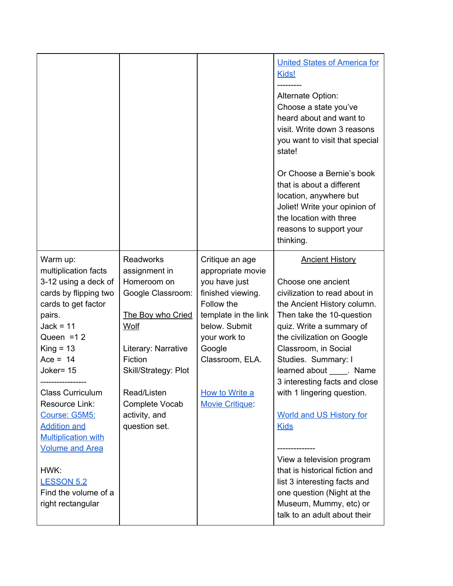|                                                                                                                                                                                                                                                                                                                |                                                                                                                                                                                                                                 |                                                                                                                                                                                                                            | <b>United States of America for</b><br>Kids!<br>Alternate Option:<br>Choose a state you've<br>heard about and want to<br>visit. Write down 3 reasons<br>you want to visit that special<br>state!<br>Or Choose a Bernie's book<br>that is about a different<br>location, anywhere but<br>Joliet! Write your opinion of<br>the location with three<br>reasons to support your<br>thinking.  |
|----------------------------------------------------------------------------------------------------------------------------------------------------------------------------------------------------------------------------------------------------------------------------------------------------------------|---------------------------------------------------------------------------------------------------------------------------------------------------------------------------------------------------------------------------------|----------------------------------------------------------------------------------------------------------------------------------------------------------------------------------------------------------------------------|-------------------------------------------------------------------------------------------------------------------------------------------------------------------------------------------------------------------------------------------------------------------------------------------------------------------------------------------------------------------------------------------|
| Warm up:<br>multiplication facts<br>3-12 using a deck of<br>cards by flipping two<br>cards to get factor<br>pairs.<br>$Jack = 11$<br>Queen = $12$<br>$King = 13$<br>Ace = $14$<br>Joker= 15<br><b>Class Curriculum</b><br>Resource Link:<br>Course: G5M5:<br><b>Addition and</b><br><b>Multiplication with</b> | <b>Readworks</b><br>assignment in<br>Homeroom on<br>Google Classroom:<br>The Boy who Cried<br>Wolf<br>Literary: Narrative<br>Fiction<br>Skill/Strategy: Plot<br>Read/Listen<br>Complete Vocab<br>activity, and<br>question set. | Critique an age<br>appropriate movie<br>you have just<br>finished viewing.<br>Follow the<br>template in the link<br>below. Submit<br>your work to<br>Google<br>Classroom, ELA.<br>How to Write a<br><b>Movie Critique:</b> | <b>Ancient History</b><br>Choose one ancient<br>civilization to read about in<br>the Ancient History column.<br>Then take the 10-question<br>quiz. Write a summary of<br>the civilization on Google<br>Classroom, in Social<br>Studies. Summary: I<br>learned about _____. Name<br>3 interesting facts and close<br>with 1 lingering question.<br>World and US History for<br><b>Kids</b> |
| <b>Volume and Area</b><br>HWK:<br><b>LESSON 5.2</b><br>Find the volume of a<br>right rectangular                                                                                                                                                                                                               |                                                                                                                                                                                                                                 |                                                                                                                                                                                                                            | View a television program<br>that is historical fiction and<br>list 3 interesting facts and<br>one question (Night at the<br>Museum, Mummy, etc) or<br>talk to an adult about their                                                                                                                                                                                                       |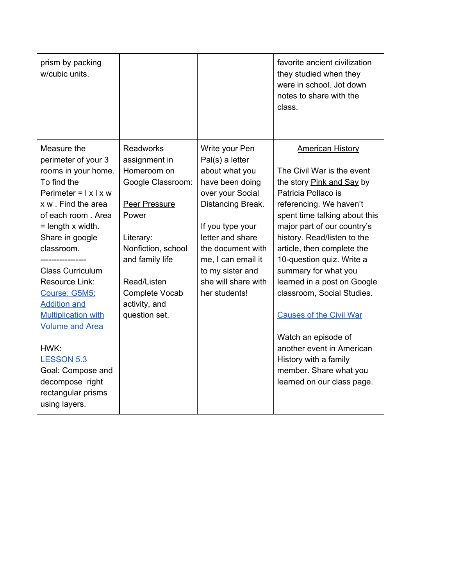| prism by packing<br>w/cubic units.                                                                                                                                                                                                                                                                                                                                                                                                                                          |                                                                                                                                                                                                                          |                                                                                                                                                                                                                                                                | favorite ancient civilization<br>they studied when they<br>were in school. Jot down<br>notes to share with the<br>class.                                                                                                                                                                                                                                                                                                                                                                                                                                   |
|-----------------------------------------------------------------------------------------------------------------------------------------------------------------------------------------------------------------------------------------------------------------------------------------------------------------------------------------------------------------------------------------------------------------------------------------------------------------------------|--------------------------------------------------------------------------------------------------------------------------------------------------------------------------------------------------------------------------|----------------------------------------------------------------------------------------------------------------------------------------------------------------------------------------------------------------------------------------------------------------|------------------------------------------------------------------------------------------------------------------------------------------------------------------------------------------------------------------------------------------------------------------------------------------------------------------------------------------------------------------------------------------------------------------------------------------------------------------------------------------------------------------------------------------------------------|
| Measure the<br>perimeter of your 3<br>rooms in your home.<br>To find the<br>Perimeter = $ x  \times w$<br>x w . Find the area<br>of each room. Area<br>$=$ length $\times$ width.<br>Share in google<br>classroom.<br><b>Class Curriculum</b><br>Resource Link:<br>Course: G5M5:<br><b>Addition and</b><br><b>Multiplication with</b><br><b>Volume and Area</b><br>HWK:<br><b>LESSON 5.3</b><br>Goal: Compose and<br>decompose right<br>rectangular prisms<br>using layers. | <b>Readworks</b><br>assignment in<br>Homeroom on<br>Google Classroom:<br>Peer Pressure<br>Power<br>Literary:<br>Nonfiction, school<br>and family life<br>Read/Listen<br>Complete Vocab<br>activity, and<br>question set. | Write your Pen<br>Pal(s) a letter<br>about what you<br>have been doing<br>over your Social<br>Distancing Break.<br>If you type your<br>letter and share<br>the document with<br>me, I can email it<br>to my sister and<br>she will share with<br>her students! | <b>American History</b><br>The Civil War is the event<br>the story Pink and Say by<br>Patricia Pollaco is<br>referencing. We haven't<br>spent time talking about this<br>major part of our country's<br>history. Read/listen to the<br>article, then complete the<br>10-question quiz. Write a<br>summary for what you<br>learned in a post on Google<br>classroom, Social Studies.<br><b>Causes of the Civil War</b><br>Watch an episode of<br>another event in American<br>History with a family<br>member. Share what you<br>learned on our class page. |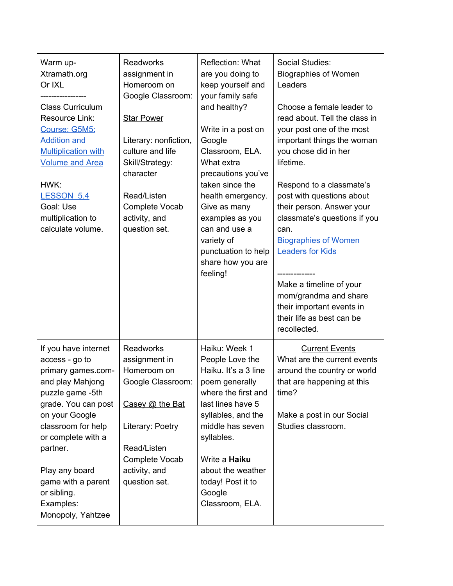| Warm up-<br>Xtramath.org<br>Or IXL<br><b>Class Curriculum</b><br>Resource Link:<br>Course: G5M5:<br><b>Addition and</b><br><b>Multiplication with</b><br><b>Volume and Area</b><br>HWK:<br><b>LESSON 5.4</b><br>Goal: Use<br>multiplication to<br>calculate volume.                            | <b>Readworks</b><br>assignment in<br>Homeroom on<br>Google Classroom:<br><b>Star Power</b><br>Literary: nonfiction,<br>culture and life<br>Skill/Strategy:<br>character<br>Read/Listen<br>Complete Vocab<br>activity, and<br>question set. | Reflection: What<br>are you doing to<br>keep yourself and<br>your family safe<br>and healthy?<br>Write in a post on<br>Google<br>Classroom, ELA.<br>What extra<br>precautions you've<br>taken since the<br>health emergency.<br>Give as many<br>examples as you<br>can and use a<br>variety of<br>punctuation to help<br>share how you are<br>feeling! | Social Studies:<br><b>Biographies of Women</b><br>Leaders<br>Choose a female leader to<br>read about. Tell the class in<br>your post one of the most<br>important things the woman<br>you chose did in her<br>lifetime.<br>Respond to a classmate's<br>post with questions about<br>their person. Answer your<br>classmate's questions if you<br>can.<br><b>Biographies of Women</b><br><b>Leaders for Kids</b><br>Make a timeline of your<br>mom/grandma and share<br>their important events in<br>their life as best can be<br>recollected. |
|------------------------------------------------------------------------------------------------------------------------------------------------------------------------------------------------------------------------------------------------------------------------------------------------|--------------------------------------------------------------------------------------------------------------------------------------------------------------------------------------------------------------------------------------------|--------------------------------------------------------------------------------------------------------------------------------------------------------------------------------------------------------------------------------------------------------------------------------------------------------------------------------------------------------|-----------------------------------------------------------------------------------------------------------------------------------------------------------------------------------------------------------------------------------------------------------------------------------------------------------------------------------------------------------------------------------------------------------------------------------------------------------------------------------------------------------------------------------------------|
| If you have internet<br>access - go to<br>primary games.com-<br>and play Mahjong<br>puzzle game -5th<br>grade. You can post<br>on your Google<br>classroom for help<br>or complete with a<br>partner.<br>Play any board<br>game with a parent<br>or sibling.<br>Examples:<br>Monopoly, Yahtzee | <b>Readworks</b><br>assignment in<br>Homeroom on<br>Google Classroom:<br>Casey @ the Bat<br>Literary: Poetry<br>Read/Listen<br>Complete Vocab<br>activity, and<br>question set.                                                            | Haiku: Week 1<br>People Love the<br>Haiku. It's a 3 line<br>poem generally<br>where the first and<br>last lines have 5<br>syllables, and the<br>middle has seven<br>syllables.<br>Write a Haiku<br>about the weather<br>today! Post it to<br>Google<br>Classroom, ELA.                                                                                 | <b>Current Events</b><br>What are the current events<br>around the country or world<br>that are happening at this<br>time?<br>Make a post in our Social<br>Studies classroom.                                                                                                                                                                                                                                                                                                                                                                 |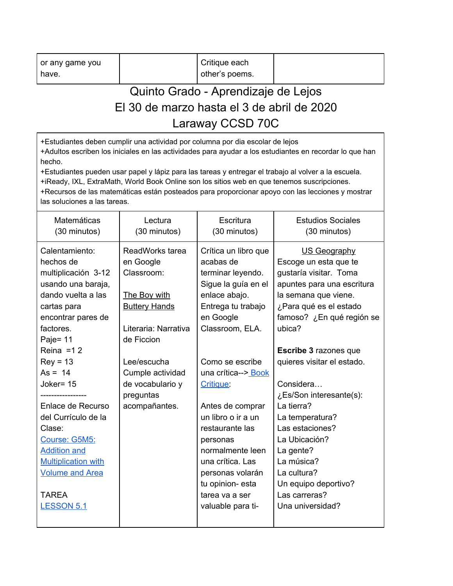| or any game you | Critique each  |  |
|-----------------|----------------|--|
| have.           | other's poems. |  |

## Quinto Grado - Aprendizaje de Lejos El 30 de marzo hasta el 3 de abril de 2020 Laraway CCSD 70C

+Estudiantes deben cumplir una actividad por columna por dia escolar de lejos +Adultos escriben los iniciales en las actividades para ayudar a los estudiantes en recordar lo que han hecho.

+Estudiantes pueden usar papel y lápiz para las tareas y entregar el trabajo al volver a la escuela. +iReady, IXL, ExtraMath, World Book Online son los sitios web en que tenemos suscripciones. +Recursos de las matemáticas están posteados para proporcionar apoyo con las lecciones y mostrar las soluciones a las tareas.

| Matemáticas<br>(30 minutos)                                                                                                                                                                                                     | Lectura<br>(30 minutos)                                                                                                         | Escritura<br>(30 minutos)                                                                                                                                                                                                                           | <b>Estudios Sociales</b><br>(30 minutos)                                                                                                                                                                                                       |
|---------------------------------------------------------------------------------------------------------------------------------------------------------------------------------------------------------------------------------|---------------------------------------------------------------------------------------------------------------------------------|-----------------------------------------------------------------------------------------------------------------------------------------------------------------------------------------------------------------------------------------------------|------------------------------------------------------------------------------------------------------------------------------------------------------------------------------------------------------------------------------------------------|
| Calentamiento:<br>hechos de<br>multiplicación 3-12<br>usando una baraja,<br>dando vuelta a las<br>cartas para<br>encontrar pares de<br>factores.<br>Paje= 11<br>Reina = $12$                                                    | ReadWorks tarea<br>en Google<br>Classroom:<br><b>The Boy with</b><br><b>Buttery Hands</b><br>Literaria: Narrativa<br>de Ficcion | Crítica un libro que<br>acabas de<br>terminar leyendo.<br>Sigue la guía en el<br>enlace abajo.<br>Entrega tu trabajo<br>en Google<br>Classroom, ELA.                                                                                                | US Geography<br>Escoge un esta que te<br>gustaría visitar. Toma<br>apuntes para una escritura<br>la semana que viene.<br>¿Para qué es el estado<br>famoso? ¿En qué región se<br>ubica?<br><b>Escribe 3 razones que</b>                         |
| $Rev = 13$<br>$As = 14$<br>Joker= 15<br>Enlace de Recurso<br>del Currículo de la<br>Clase:<br>Course: G5M5:<br><b>Addition and</b><br><b>Multiplication with</b><br><b>Volume and Area</b><br><b>TAREA</b><br><b>LESSON 5.1</b> | Lee/escucha<br>Cumple actividad<br>de vocabulario y<br>preguntas<br>acompañantes.                                               | Como se escribe<br>una crítica--> Book<br>Critique:<br>Antes de comprar<br>un libro o ir a un<br>restaurante las<br>personas<br>normalmente leen<br>una crítica. Las<br>personas volarán<br>tu opinion- esta<br>tarea va a ser<br>valuable para ti- | quieres visitar el estado.<br>Considera<br>¿Es/Son interesante(s):<br>La tierra?<br>La temperatura?<br>Las estaciones?<br>La Ubicación?<br>La gente?<br>La música?<br>La cultura?<br>Un equipo deportivo?<br>Las carreras?<br>Una universidad? |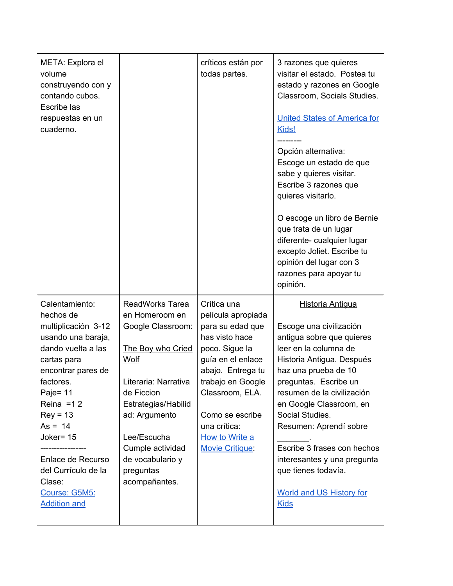| META: Explora el<br>volume<br>construyendo con y<br>contando cubos.<br><b>Escribe las</b><br>respuestas en un<br>cuaderno.                                                                                                                                                                                           |                                                                                                                                                                                                                                                               | críticos están por<br>todas partes.                                                                                                                                                                                                                        | 3 razones que quieres<br>visitar el estado. Postea tu<br>estado y razones en Google<br>Classroom, Socials Studies.<br><b>United States of America for</b><br>Kids!<br>Opción alternativa:<br>Escoge un estado de que<br>sabe y quieres visitar.<br>Escribe 3 razones que<br>quieres visitarlo.<br>O escoge un libro de Bernie<br>que trata de un lugar<br>diferente- cualquier lugar<br>excepto Joliet. Escribe tu<br>opinión del lugar con 3<br>razones para apoyar tu<br>opinión. |
|----------------------------------------------------------------------------------------------------------------------------------------------------------------------------------------------------------------------------------------------------------------------------------------------------------------------|---------------------------------------------------------------------------------------------------------------------------------------------------------------------------------------------------------------------------------------------------------------|------------------------------------------------------------------------------------------------------------------------------------------------------------------------------------------------------------------------------------------------------------|-------------------------------------------------------------------------------------------------------------------------------------------------------------------------------------------------------------------------------------------------------------------------------------------------------------------------------------------------------------------------------------------------------------------------------------------------------------------------------------|
| Calentamiento:<br>hechos de<br>multiplicación 3-12<br>usando una baraja,<br>dando vuelta a las<br>cartas para<br>encontrar pares de<br>factores.<br>Paje= $11$<br>Reina = $12$<br>$Rey = 13$<br>$As = 14$<br>Joker= 15<br>Enlace de Recurso<br>del Currículo de la<br>Clase:<br>Course: G5M5:<br><b>Addition and</b> | <b>ReadWorks Tarea</b><br>en Homeroom en<br>Google Classroom:<br>The Boy who Cried<br>Wolf<br>Literaria: Narrativa<br>de Ficcion<br>Estrategias/Habilid<br>ad: Argumento<br>Lee/Escucha<br>Cumple actividad<br>de vocabulario y<br>preguntas<br>acompañantes. | Crítica una<br>película apropiada<br>para su edad que<br>has visto hace<br>poco. Sigue la<br>guía en el enlace<br>abajo. Entrega tu<br>trabajo en Google<br>Classroom, ELA.<br>Como se escribe<br>una crítica:<br>How to Write a<br><b>Movie Critique:</b> | <b>Historia Antigua</b><br>Escoge una civilización<br>antigua sobre que quieres<br>leer en la columna de<br>Historia Antigua. Después<br>haz una prueba de 10<br>preguntas. Escribe un<br>resumen de la civilización<br>en Google Classroom, en<br>Social Studies.<br>Resumen: Aprendí sobre<br>Escribe 3 frases con hechos<br>interesantes y una pregunta<br>que tienes todavía.<br><b>World and US History for</b><br><b>Kids</b>                                                 |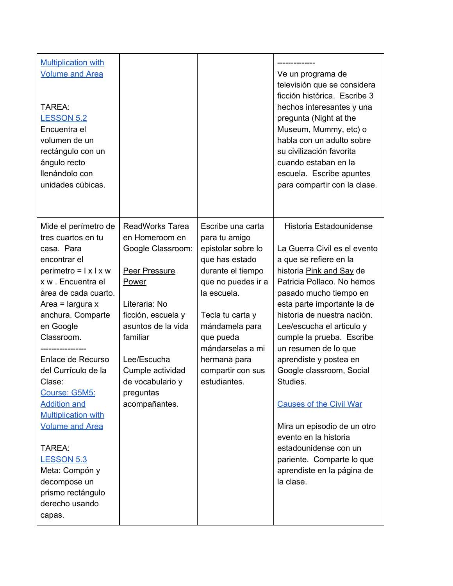| <b>Multiplication with</b><br><b>Volume and Area</b><br>TAREA:<br><b>LESSON 5.2</b><br>Encuentra el<br>volumen de un<br>rectángulo con un<br>ángulo recto<br>llenándolo con<br>unidades cúbicas.                                                                                                                                                                                                                                                                                                |                                                                                                                                                                                                                                                              |                                                                                                                                                                                                                                                                  | Ve un programa de<br>televisión que se considera<br>ficción histórica. Escribe 3<br>hechos interesantes y una<br>pregunta (Night at the<br>Museum, Mummy, etc) o<br>habla con un adulto sobre<br>su civilización favorita<br>cuando estaban en la<br>escuela. Escribe apuntes<br>para compartir con la clase.                                                                                                                                                                                                                                                                             |
|-------------------------------------------------------------------------------------------------------------------------------------------------------------------------------------------------------------------------------------------------------------------------------------------------------------------------------------------------------------------------------------------------------------------------------------------------------------------------------------------------|--------------------------------------------------------------------------------------------------------------------------------------------------------------------------------------------------------------------------------------------------------------|------------------------------------------------------------------------------------------------------------------------------------------------------------------------------------------------------------------------------------------------------------------|-------------------------------------------------------------------------------------------------------------------------------------------------------------------------------------------------------------------------------------------------------------------------------------------------------------------------------------------------------------------------------------------------------------------------------------------------------------------------------------------------------------------------------------------------------------------------------------------|
| Mide el perímetro de<br>tres cuartos en tu<br>casa. Para<br>encontrar el<br>$perimetro =   x   x w$<br>x w . Encuentra el<br>área de cada cuarto.<br>Area = largura $x$<br>anchura. Comparte<br>en Google<br>Classroom.<br>Enlace de Recurso<br>del Currículo de la<br>Clase:<br>Course: G5M5:<br><b>Addition and</b><br><b>Multiplication with</b><br><b>Volume and Area</b><br>TAREA:<br><b>LESSON 5.3</b><br>Meta: Compón y<br>decompose un<br>prismo rectángulo<br>derecho usando<br>capas. | <b>ReadWorks Tarea</b><br>en Homeroom en<br>Google Classroom:<br>Peer Pressure<br><b>Power</b><br>Literaria: No<br>ficción, escuela y<br>asuntos de la vida<br>familiar<br>Lee/Escucha<br>Cumple actividad<br>de vocabulario y<br>preguntas<br>acompañantes. | Escribe una carta<br>para tu amigo<br>epistolar sobre lo<br>que has estado<br>durante el tiempo<br>que no puedes ir a<br>la escuela.<br>Tecla tu carta y<br>mándamela para<br>que pueda<br>mándarselas a mi<br>hermana para<br>compartir con sus<br>estudiantes. | <b>Historia Estadounidense</b><br>La Guerra Civil es el evento<br>a que se refiere en la<br>historia Pink and Say de<br>Patricia Pollaco. No hemos<br>pasado mucho tiempo en<br>esta parte importante la de<br>historia de nuestra nación.<br>Lee/escucha el articulo y<br>cumple la prueba. Escribe<br>un resumen de lo que<br>aprendiste y postea en<br>Google classroom, Social<br>Studies.<br><b>Causes of the Civil War</b><br>Mira un episodio de un otro<br>evento en la historia<br>estadounidense con un<br>pariente. Comparte lo que<br>aprendiste en la página de<br>la clase. |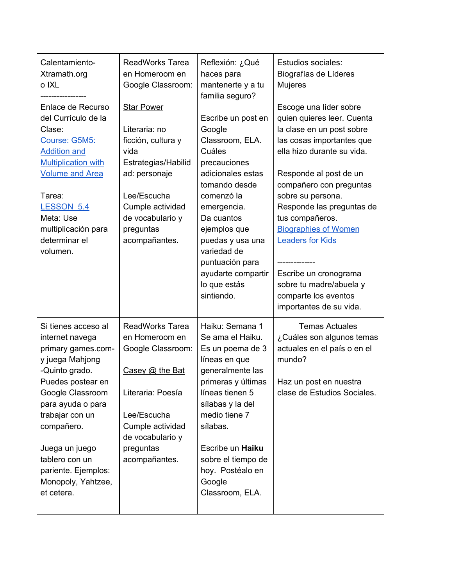| Calentamiento-<br>Xtramath.org<br>o IXL<br>Enlace de Recurso<br>del Currículo de la<br>Clase:<br>Course: G5M5:<br><b>Addition and</b><br><b>Multiplication with</b><br><b>Volume and Area</b><br>Tarea:<br><b>LESSON 5.4</b><br>Meta: Use<br>multiplicación para<br>determinar el<br>volumen.   | <b>ReadWorks Tarea</b><br>en Homeroom en<br>Google Classroom:<br><b>Star Power</b><br>Literaria: no<br>ficción, cultura y<br>vida<br>Estrategias/Habilid<br>ad: personaje<br>Lee/Escucha<br>Cumple actividad<br>de vocabulario y<br>preguntas<br>acompañantes. | Reflexión: ¿Qué<br>haces para<br>mantenerte y a tu<br>familia seguro?<br>Escribe un post en<br>Google<br>Classroom, ELA.<br>Cuáles<br>precauciones<br>adicionales estas<br>tomando desde<br>comenzó la<br>emergencia.<br>Da cuantos<br>ejemplos que<br>puedas y usa una<br>variedad de<br>puntuación para<br>ayudarte compartir<br>lo que estás<br>sintiendo. | <b>Estudios sociales:</b><br>Biografías de Líderes<br><b>Mujeres</b><br>Escoge una líder sobre<br>quien quieres leer. Cuenta<br>la clase en un post sobre<br>las cosas importantes que<br>ella hizo durante su vida.<br>Responde al post de un<br>compañero con preguntas<br>sobre su persona.<br>Responde las preguntas de<br>tus compañeros.<br><b>Biographies of Women</b><br><b>Leaders for Kids</b><br>Escribe un cronograma<br>sobre tu madre/abuela y<br>comparte los eventos<br>importantes de su vida. |
|-------------------------------------------------------------------------------------------------------------------------------------------------------------------------------------------------------------------------------------------------------------------------------------------------|----------------------------------------------------------------------------------------------------------------------------------------------------------------------------------------------------------------------------------------------------------------|---------------------------------------------------------------------------------------------------------------------------------------------------------------------------------------------------------------------------------------------------------------------------------------------------------------------------------------------------------------|-----------------------------------------------------------------------------------------------------------------------------------------------------------------------------------------------------------------------------------------------------------------------------------------------------------------------------------------------------------------------------------------------------------------------------------------------------------------------------------------------------------------|
| Si tienes acceso al<br>internet navega<br>primary games.com-<br>y juega Mahjong<br>-Quinto grado.<br>Puedes postear en<br>Google Classroom<br>para ayuda o para<br>trabajar con un<br>compañero.<br>Juega un juego<br>tablero con un<br>pariente. Ejemplos:<br>Monopoly, Yahtzee,<br>et cetera. | <b>ReadWorks Tarea</b><br>en Homeroom en<br>Google Classroom:<br>Casey @ the Bat<br>Literaria: Poesía<br>Lee/Escucha<br>Cumple actividad<br>de vocabulario y<br>preguntas<br>acompañantes.                                                                     | Haiku: Semana 1<br>Se ama el Haiku.<br>Es un poema de 3<br>líneas en que<br>generalmente las<br>primeras y últimas<br>líneas tienen 5<br>sílabas y la del<br>medio tiene 7<br>sílabas.<br>Escribe un Haiku<br>sobre el tiempo de<br>hoy. Postéalo en<br>Google<br>Classroom, ELA.                                                                             | <b>Temas Actuales</b><br>¿Cuáles son algunos temas<br>actuales en el país o en el<br>mundo?<br>Haz un post en nuestra<br>clase de Estudios Sociales.                                                                                                                                                                                                                                                                                                                                                            |